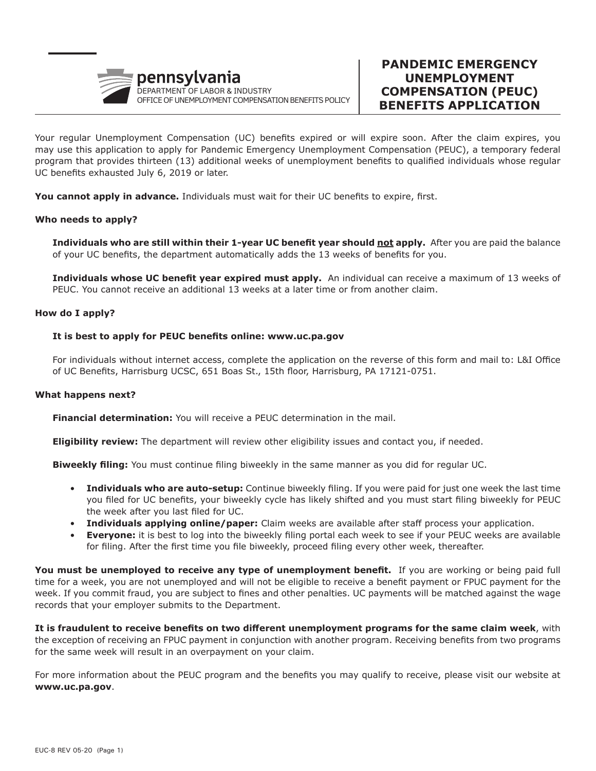

Your regular Unemployment Compensation (UC) benefits expired or will expire soon. After the claim expires, you may use this application to apply for Pandemic Emergency Unemployment Compensation (PEUC), a temporary federal program that provides thirteen (13) additional weeks of unemployment benefits to qualified individuals whose regular UC benefits exhausted July 6, 2019 or later.

**You cannot apply in advance.** Individuals must wait for their UC benefits to expire, first.

### **Who needs to apply?**

 **Individuals who are still within their 1-year UC benefit year should not apply.** After you are paid the balance of your UC benefits, the department automatically adds the 13 weeks of benefits for you.

 **Individuals whose UC benefit year expired must apply.** An individual can receive a maximum of 13 weeks of PEUC. You cannot receive an additional 13 weeks at a later time or from another claim.

#### **How do I apply?**

#### **It is best to apply for PEUC benefits online: www.uc.pa.gov**

For individuals without internet access, complete the application on the reverse of this form and mail to: L&I Office of UC Benefits, Harrisburg UCSC, 651 Boas St., 15th floor, Harrisburg, PA 17121-0751.

#### **What happens next?**

 **Financial determination:** You will receive a PEUC determination in the mail.

 **Eligibility review:** The department will review other eligibility issues and contact you, if needed.

 **Biweekly filing:** You must continue filing biweekly in the same manner as you did for regular UC.

- **Individuals who are auto-setup:** Continue biweekly filing. If you were paid for just one week the last time you filed for UC benefits, your biweekly cycle has likely shifted and you must start filing biweekly for PEUC the week after you last filed for UC.
- **Individuals applying online/paper:** Claim weeks are available after staff process your application.
- **Everyone:** it is best to log into the biweekly filing portal each week to see if your PEUC weeks are available for filing. After the first time you file biweekly, proceed filing every other week, thereafter.

**You must be unemployed to receive any type of unemployment benefit.** If you are working or being paid full time for a week, you are not unemployed and will not be eligible to receive a benefit payment or FPUC payment for the week. If you commit fraud, you are subject to fines and other penalties. UC payments will be matched against the wage records that your employer submits to the Department.

**It is fraudulent to receive benefits on two different unemployment programs for the same claim week**, with the exception of receiving an FPUC payment in conjunction with another program. Receiving benefits from two programs for the same week will result in an overpayment on your claim.

For more information about the PEUC program and the benefits you may qualify to receive, please visit our website at **www.uc.pa.gov**.